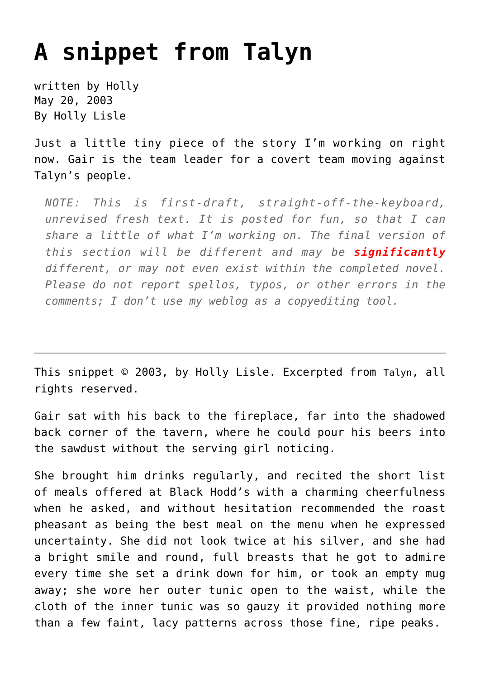## **[A snippet from Talyn](https://hollylisle.com/a-snippet-from-talyn/)**

written by Holly May 20, 2003 [By Holly Lisle](https://hollylisle.com)

Just a little tiny piece of the story I'm working on right now. Gair is the team leader for a covert team moving against Talyn's people.

*NOTE: This is first-draft, straight-off-the-keyboard, unrevised fresh text. It is posted for fun, so that I can share a little of what I'm working on. The final version of this section will be different and may be significantly different, or may not even exist within the completed novel. Please do not report spellos, typos, or other errors in the comments; I don't use my weblog as a copyediting tool.*

This snippet © 2003, by Holly Lisle. Excerpted from Talyn, all rights reserved.

Gair sat with his back to the fireplace, far into the shadowed back corner of the tavern, where he could pour his beers into the sawdust without the serving girl noticing.

She brought him drinks regularly, and recited the short list of meals offered at Black Hodd's with a charming cheerfulness when he asked, and without hesitation recommended the roast pheasant as being the best meal on the menu when he expressed uncertainty. She did not look twice at his silver, and she had a bright smile and round, full breasts that he got to admire every time she set a drink down for him, or took an empty mug away; she wore her outer tunic open to the waist, while the cloth of the inner tunic was so gauzy it provided nothing more than a few faint, lacy patterns across those fine, ripe peaks.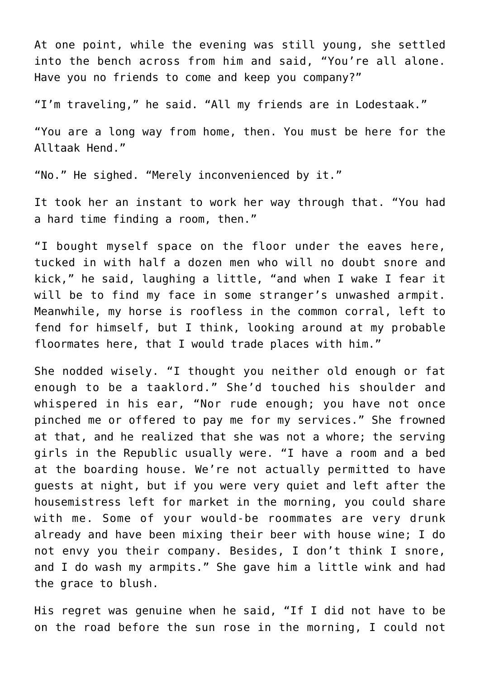At one point, while the evening was still young, she settled into the bench across from him and said, "You're all alone. Have you no friends to come and keep you company?"

"I'm traveling," he said. "All my friends are in Lodestaak."

"You are a long way from home, then. You must be here for the Alltaak Hend."

"No." He sighed. "Merely inconvenienced by it."

It took her an instant to work her way through that. "You had a hard time finding a room, then."

"I bought myself space on the floor under the eaves here, tucked in with half a dozen men who will no doubt snore and kick," he said, laughing a little, "and when I wake I fear it will be to find my face in some stranger's unwashed armpit. Meanwhile, my horse is roofless in the common corral, left to fend for himself, but I think, looking around at my probable floormates here, that I would trade places with him."

She nodded wisely. "I thought you neither old enough or fat enough to be a taaklord." She'd touched his shoulder and whispered in his ear, "Nor rude enough; you have not once pinched me or offered to pay me for my services." She frowned at that, and he realized that she was not a whore; the serving girls in the Republic usually were. "I have a room and a bed at the boarding house. We're not actually permitted to have guests at night, but if you were very quiet and left after the housemistress left for market in the morning, you could share with me. Some of your would-be roommates are very drunk already and have been mixing their beer with house wine; I do not envy you their company. Besides, I don't think I snore, and I do wash my armpits." She gave him a little wink and had the grace to blush.

His regret was genuine when he said, "If I did not have to be on the road before the sun rose in the morning, I could not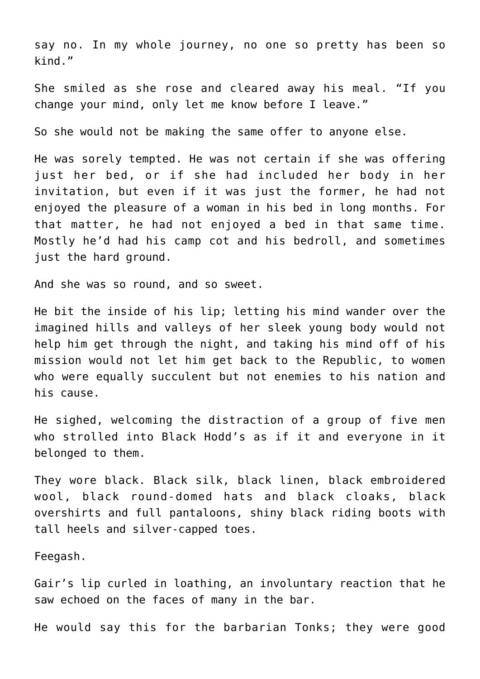say no. In my whole journey, no one so pretty has been so kind."

She smiled as she rose and cleared away his meal. "If you change your mind, only let me know before I leave."

So she would not be making the same offer to anyone else.

He was sorely tempted. He was not certain if she was offering just her bed, or if she had included her body in her invitation, but even if it was just the former, he had not enjoyed the pleasure of a woman in his bed in long months. For that matter, he had not enjoyed a bed in that same time. Mostly he'd had his camp cot and his bedroll, and sometimes just the hard ground.

And she was so round, and so sweet.

He bit the inside of his lip; letting his mind wander over the imagined hills and valleys of her sleek young body would not help him get through the night, and taking his mind off of his mission would not let him get back to the Republic, to women who were equally succulent but not enemies to his nation and his cause.

He sighed, welcoming the distraction of a group of five men who strolled into Black Hodd's as if it and everyone in it belonged to them.

They wore black. Black silk, black linen, black embroidered wool, black round-domed hats and black cloaks, black overshirts and full pantaloons, shiny black riding boots with tall heels and silver-capped toes.

Feegash.

Gair's lip curled in loathing, an involuntary reaction that he saw echoed on the faces of many in the bar.

He would say this for the barbarian Tonks; they were good